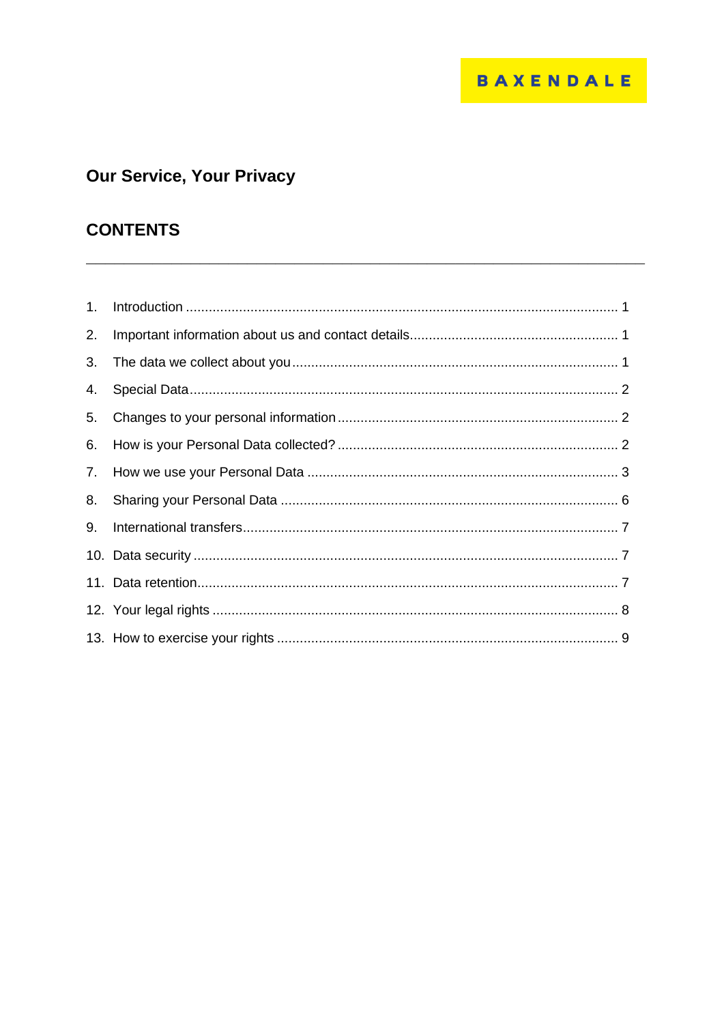# Our Service, Your Privacy

## **CONTENTS**

| 1. |  |
|----|--|
| 2. |  |
| 3. |  |
| 4. |  |
| 5. |  |
| 6. |  |
| 7. |  |
| 8. |  |
| 9. |  |
|    |  |
|    |  |
|    |  |
|    |  |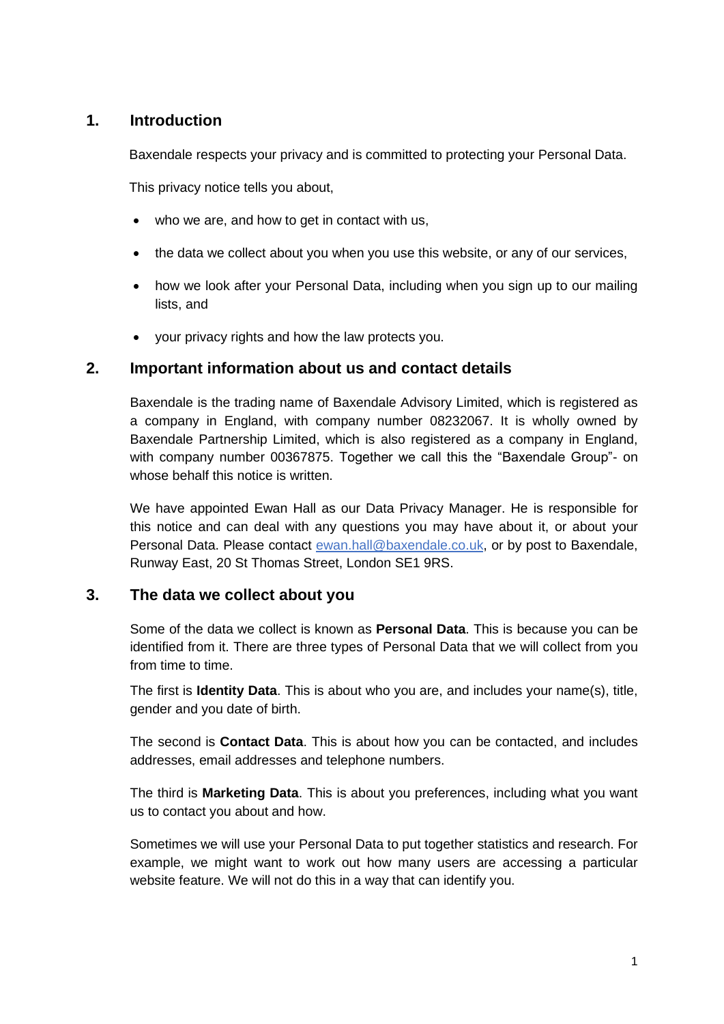## <span id="page-1-0"></span>**1. Introduction**

Baxendale respects your privacy and is committed to protecting your Personal Data.

This privacy notice tells you about,

- who we are, and how to get in contact with us,
- the data we collect about you when you use this website, or any of our services,
- how we look after your Personal Data, including when you sign up to our mailing lists, and
- <span id="page-1-1"></span>• your privacy rights and how the law protects you.

## **2. Important information about us and contact details**

Baxendale is the trading name of Baxendale Advisory Limited, which is registered as a company in England, with company number 08232067. It is wholly owned by Baxendale Partnership Limited, which is also registered as a company in England, with company number 00367875. Together we call this the "Baxendale Group"- on whose behalf this notice is written.

We have appointed Ewan Hall as our Data Privacy Manager. He is responsible for this notice and can deal with any questions you may have about it, or about your Personal Data. Please contact [ewan.hall@baxendale.co.uk,](mailto:ewan.hall@baxendale.co.uk) or by post to Baxendale, Runway East, 20 St Thomas Street, London SE1 9RS.

## <span id="page-1-2"></span>**3. The data we collect about you**

Some of the data we collect is known as **Personal Data**. This is because you can be identified from it. There are three types of Personal Data that we will collect from you from time to time.

The first is **Identity Data**. This is about who you are, and includes your name(s), title, gender and you date of birth.

The second is **Contact Data**. This is about how you can be contacted, and includes addresses, email addresses and telephone numbers.

The third is **Marketing Data**. This is about you preferences, including what you want us to contact you about and how.

Sometimes we will use your Personal Data to put together statistics and research. For example, we might want to work out how many users are accessing a particular website feature. We will not do this in a way that can identify you.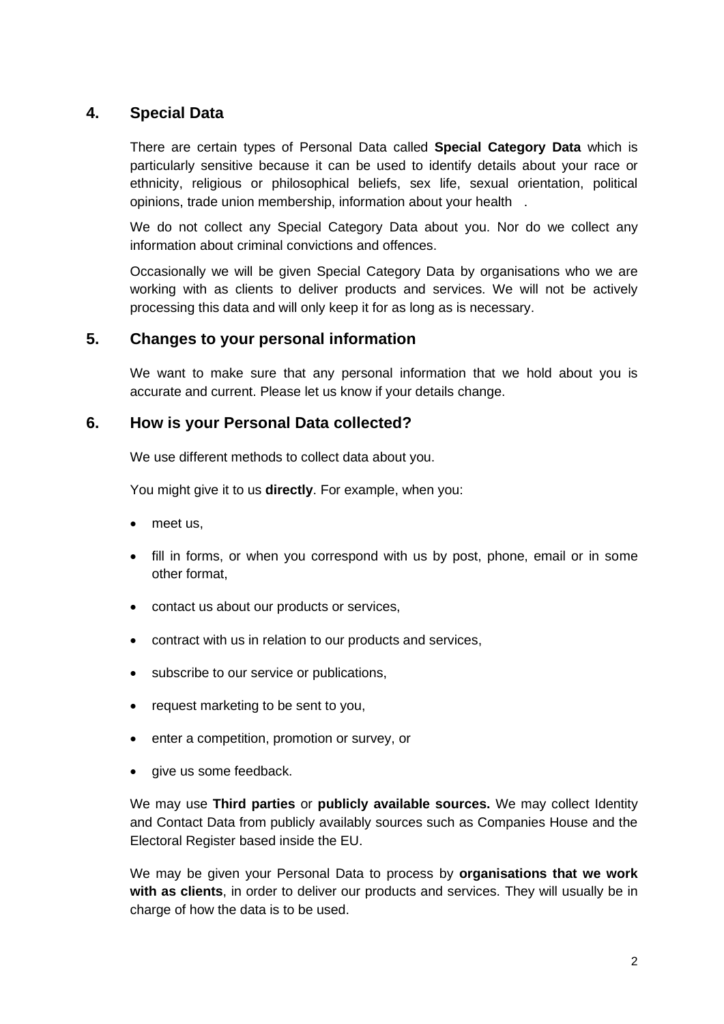## <span id="page-2-0"></span>**4. Special Data**

There are certain types of Personal Data called **Special Category Data** which is particularly sensitive because it can be used to identify details about your race or ethnicity, religious or philosophical beliefs, sex life, sexual orientation, political opinions, trade union membership, information about your health .

We do not collect any Special Category Data about you. Nor do we collect any information about criminal convictions and offences.

Occasionally we will be given Special Category Data by organisations who we are working with as clients to deliver products and services. We will not be actively processing this data and will only keep it for as long as is necessary.

## <span id="page-2-1"></span>**5. Changes to your personal information**

We want to make sure that any personal information that we hold about you is accurate and current. Please let us know if your details change.

## **6. How is your Personal Data collected?**

<span id="page-2-2"></span>We use different methods to collect data about you.

You might give it to us **directly**. For example, when you:

- meet us.
- fill in forms, or when you correspond with us by post, phone, email or in some other format,
- contact us about our products or services,
- contract with us in relation to our products and services,
- subscribe to our service or publications,
- request marketing to be sent to you,
- enter a competition, promotion or survey, or
- give us some feedback.

We may use **Third parties** or **publicly available sources.** We may collect Identity and Contact Data from publicly availably sources such as Companies House and the Electoral Register based inside the EU.

We may be given your Personal Data to process by **organisations that we work with as clients**, in order to deliver our products and services. They will usually be in charge of how the data is to be used.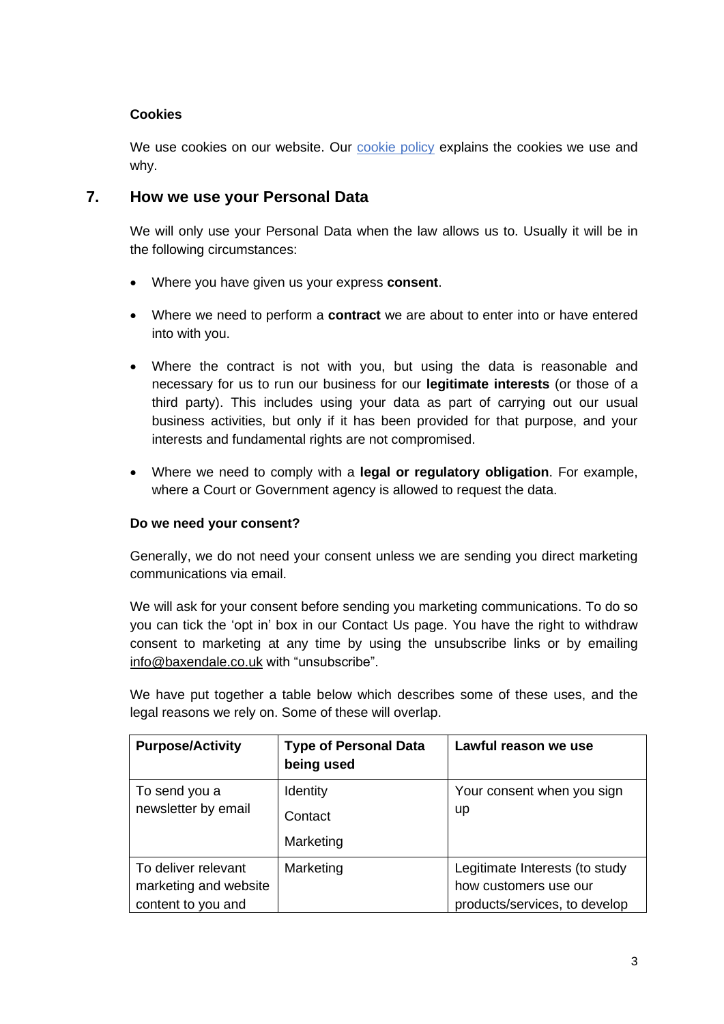## **Cookies**

<span id="page-3-0"></span>We use cookies on our website. Our [cookie policy](https://www.baxendale.co.uk/wp-content/uploads/2019/10/Website-cookie-policy.pdf) explains the cookies we use and why.

## **7. How we use your Personal Data**

We will only use your Personal Data when the law allows us to. Usually it will be in the following circumstances:

- Where you have given us your express **consent**.
- Where we need to perform a **contract** we are about to enter into or have entered into with you.
- Where the contract is not with you, but using the data is reasonable and necessary for us to run our business for our **legitimate interests** (or those of a third party). This includes using your data as part of carrying out our usual business activities, but only if it has been provided for that purpose, and your interests and fundamental rights are not compromised.
- Where we need to comply with a **legal or regulatory obligation**. For example, where a Court or Government agency is allowed to request the data.

## **Do we need your consent?**

Generally, we do not need your consent unless we are sending you direct marketing communications via email.

We will ask for your consent before sending you marketing communications. To do so you can tick the 'opt in' box in our Contact Us page. You have the right to withdraw consent to marketing at any time by using the unsubscribe links or by emailing [info@baxendale.co.uk](mailto:info@baxendale.co.uk) with "unsubscribe".

We have put together a table below which describes some of these uses, and the legal reasons we rely on. Some of these will overlap.

| <b>Purpose/Activity</b>                                            | <b>Type of Personal Data</b><br>being used | Lawful reason we use                                                                     |
|--------------------------------------------------------------------|--------------------------------------------|------------------------------------------------------------------------------------------|
| To send you a<br>newsletter by email                               | Identity<br>Contact<br>Marketing           | Your consent when you sign<br>up                                                         |
| To deliver relevant<br>marketing and website<br>content to you and | Marketing                                  | Legitimate Interests (to study<br>how customers use our<br>products/services, to develop |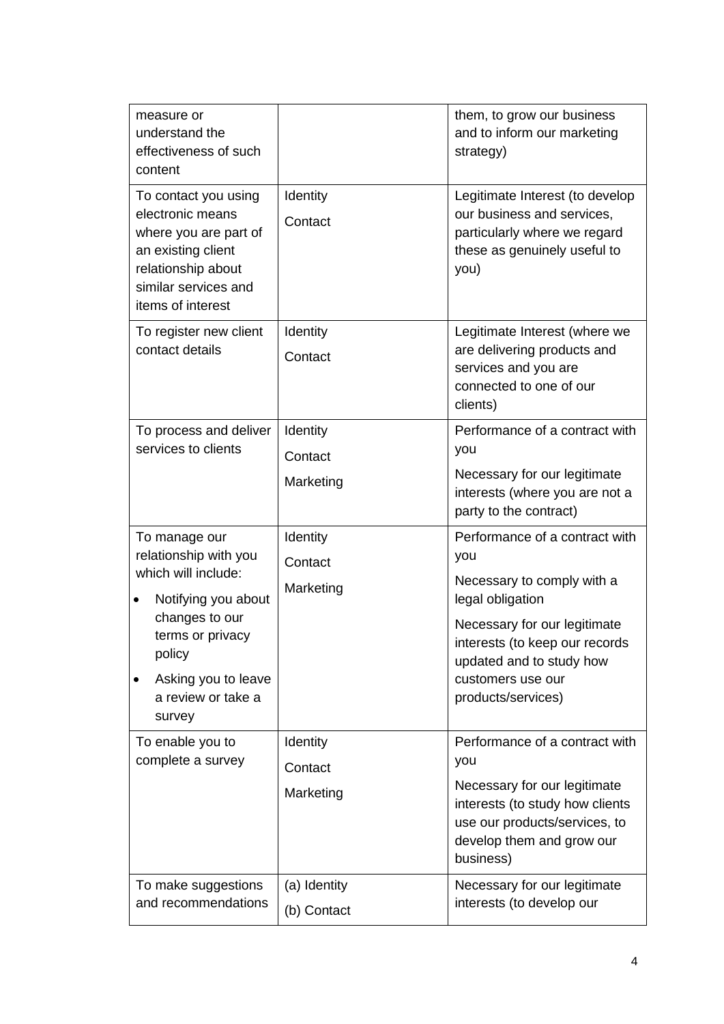| measure or<br>understand the<br>effectiveness of such<br>content                                                                                                                                 |                                  | them, to grow our business<br>and to inform our marketing<br>strategy)                                                                                                                                                           |
|--------------------------------------------------------------------------------------------------------------------------------------------------------------------------------------------------|----------------------------------|----------------------------------------------------------------------------------------------------------------------------------------------------------------------------------------------------------------------------------|
| To contact you using<br>electronic means<br>where you are part of<br>an existing client<br>relationship about<br>similar services and<br>items of interest                                       | Identity<br>Contact              | Legitimate Interest (to develop<br>our business and services,<br>particularly where we regard<br>these as genuinely useful to<br>you)                                                                                            |
| To register new client<br>contact details                                                                                                                                                        | Identity<br>Contact              | Legitimate Interest (where we<br>are delivering products and<br>services and you are<br>connected to one of our<br>clients)                                                                                                      |
| To process and deliver<br>services to clients                                                                                                                                                    | Identity<br>Contact<br>Marketing | Performance of a contract with<br>you<br>Necessary for our legitimate<br>interests (where you are not a<br>party to the contract)                                                                                                |
| To manage our<br>relationship with you<br>which will include:<br>Notifying you about<br>٠<br>changes to our<br>terms or privacy<br>policy<br>Asking you to leave<br>a review or take a<br>survey | Identity<br>Contact<br>Marketing | Performance of a contract with<br>you<br>Necessary to comply with a<br>legal obligation<br>Necessary for our legitimate<br>interests (to keep our records<br>updated and to study how<br>customers use our<br>products/services) |
| To enable you to<br>complete a survey                                                                                                                                                            | Identity<br>Contact<br>Marketing | Performance of a contract with<br>you<br>Necessary for our legitimate<br>interests (to study how clients<br>use our products/services, to<br>develop them and grow our<br>business)                                              |
| To make suggestions<br>and recommendations                                                                                                                                                       | (a) Identity<br>(b) Contact      | Necessary for our legitimate<br>interests (to develop our                                                                                                                                                                        |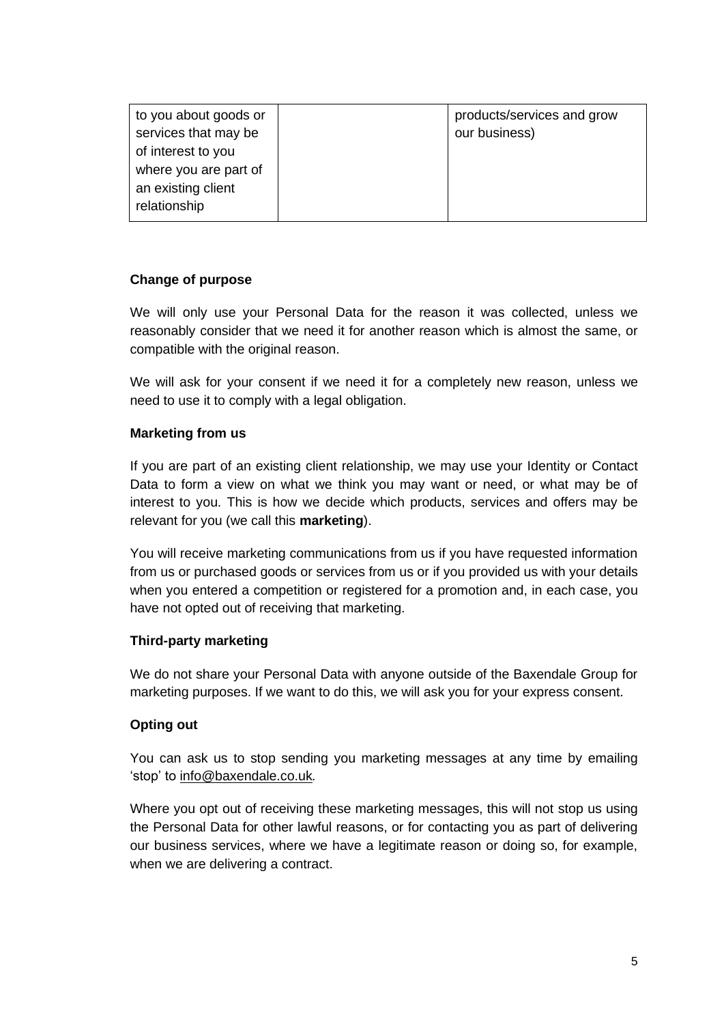| to you about goods or<br>services that may be | products/services and grow<br>our business) |
|-----------------------------------------------|---------------------------------------------|
| of interest to you                            |                                             |
| where you are part of                         |                                             |
| an existing client                            |                                             |
| relationship                                  |                                             |

#### **Change of purpose**

We will only use your Personal Data for the reason it was collected, unless we reasonably consider that we need it for another reason which is almost the same, or compatible with the original reason.

We will ask for your consent if we need it for a completely new reason, unless we need to use it to comply with a legal obligation.

#### **Marketing from us**

If you are part of an existing client relationship, we may use your Identity or Contact Data to form a view on what we think you may want or need, or what may be of interest to you. This is how we decide which products, services and offers may be relevant for you (we call this **marketing**).

You will receive marketing communications from us if you have requested information from us or purchased goods or services from us or if you provided us with your details when you entered a competition or registered for a promotion and, in each case, you have not opted out of receiving that marketing.

#### **Third-party marketing**

We do not share your Personal Data with anyone outside of the Baxendale Group for marketing purposes. If we want to do this, we will ask you for your express consent.

#### **Opting out**

You can ask us to stop sending you marketing messages at any time by emailing 'stop' to [info@baxendale.co.uk](mailto:info@baxendale.co.uk)*.*

Where you opt out of receiving these marketing messages, this will not stop us using the Personal Data for other lawful reasons, or for contacting you as part of delivering our business services, where we have a legitimate reason or doing so, for example, when we are delivering a contract.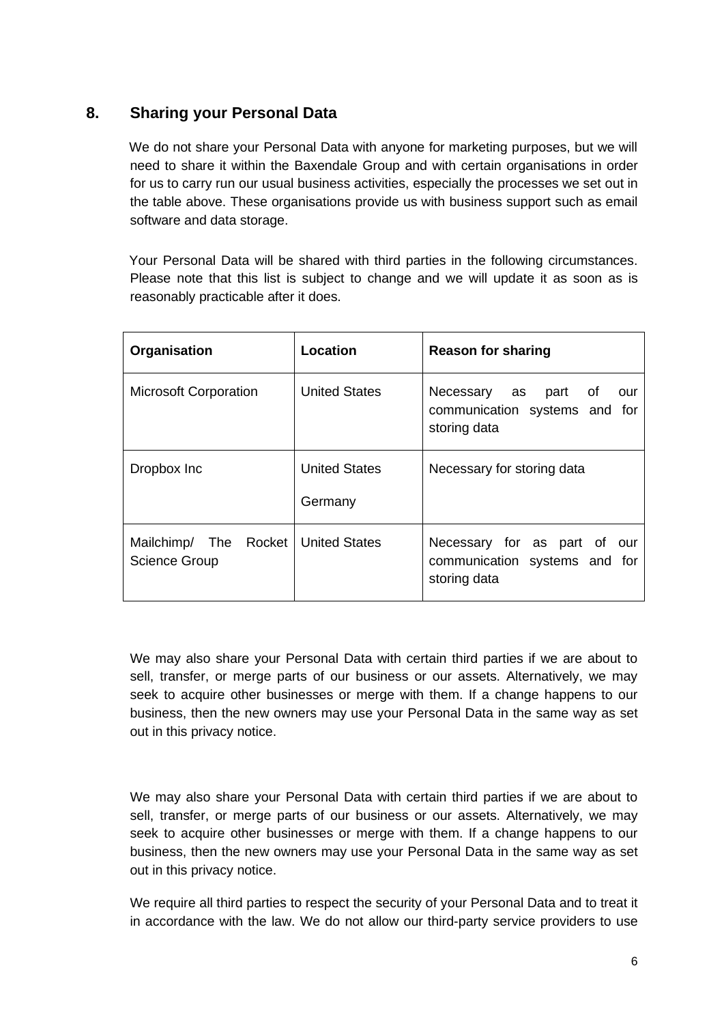## **8. Sharing your Personal Data**

<span id="page-6-0"></span>We do not share your Personal Data with anyone for marketing purposes, but we will need to share it within the Baxendale Group and with certain organisations in order for us to carry run our usual business activities, especially the processes we set out in the table above. These organisations provide us with business support such as email software and data storage.

Your Personal Data will be shared with third parties in the following circumstances. Please note that this list is subject to change and we will update it as soon as is reasonably practicable after it does.

| Organisation                                                  | <b>Location</b>                 | <b>Reason for sharing</b>                                                     |
|---------------------------------------------------------------|---------------------------------|-------------------------------------------------------------------------------|
| <b>Microsoft Corporation</b>                                  | <b>United States</b>            | Necessary as part of<br>our<br>communication systems and for<br>storing data  |
| Dropbox Inc                                                   | <b>United States</b><br>Germany | Necessary for storing data                                                    |
| Mailchimp/ The Rocket   United States<br><b>Science Group</b> |                                 | Necessary for as part of our<br>communication systems and for<br>storing data |

We may also share your Personal Data with certain third parties if we are about to sell, transfer, or merge parts of our business or our assets. Alternatively, we may seek to acquire other businesses or merge with them. If a change happens to our business, then the new owners may use your Personal Data in the same way as set out in this privacy notice.

We may also share your Personal Data with certain third parties if we are about to sell, transfer, or merge parts of our business or our assets. Alternatively, we may seek to acquire other businesses or merge with them. If a change happens to our business, then the new owners may use your Personal Data in the same way as set out in this privacy notice.

We require all third parties to respect the security of your Personal Data and to treat it in accordance with the law. We do not allow our third-party service providers to use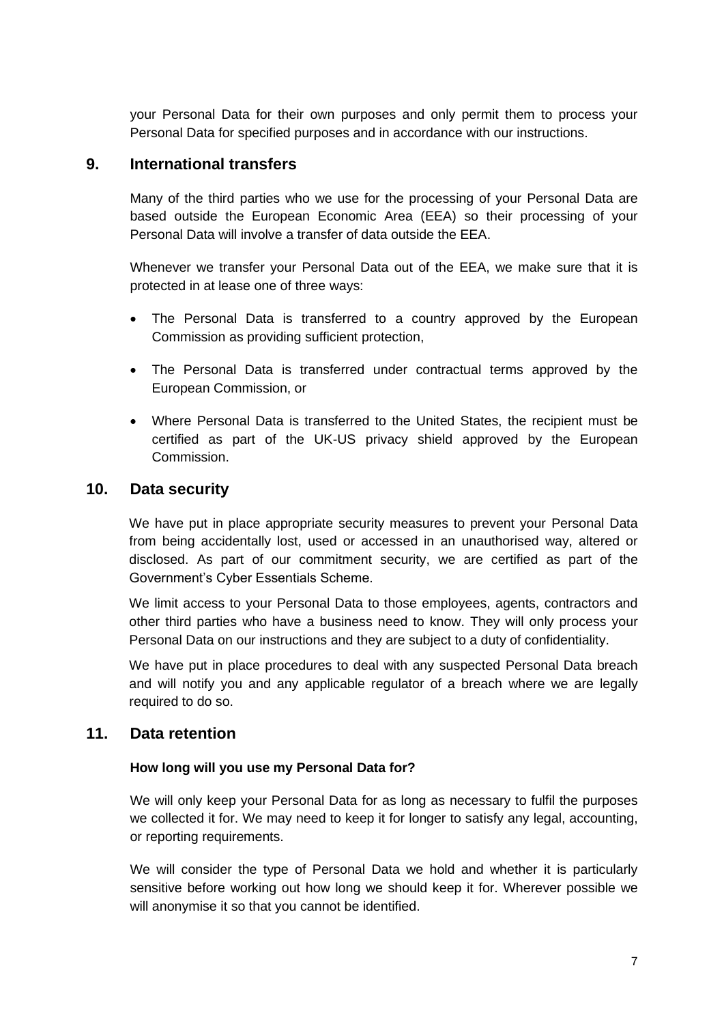<span id="page-7-0"></span>your Personal Data for their own purposes and only permit them to process your Personal Data for specified purposes and in accordance with our instructions.

## **9. International transfers**

Many of the third parties who we use for the processing of your Personal Data are based outside the European Economic Area (EEA) so their processing of your Personal Data will involve a transfer of data outside the EEA.

Whenever we transfer your Personal Data out of the EEA, we make sure that it is protected in at lease one of three ways:

- The Personal Data is transferred to a country approved by the European Commission as providing sufficient protection,
- The Personal Data is transferred under contractual terms approved by the European Commission, or
- Where Personal Data is transferred to the United States, the recipient must be certified as part of the UK-US privacy shield approved by the European Commission.

## <span id="page-7-1"></span>**10. Data security**

We have put in place appropriate security measures to prevent your Personal Data from being accidentally lost, used or accessed in an unauthorised way, altered or disclosed. As part of our commitment security, we are certified as part of the Government's Cyber Essentials Scheme.

We limit access to your Personal Data to those employees, agents, contractors and other third parties who have a business need to know. They will only process your Personal Data on our instructions and they are subject to a duty of confidentiality.

We have put in place procedures to deal with any suspected Personal Data breach and will notify you and any applicable regulator of a breach where we are legally required to do so.

## <span id="page-7-2"></span>**11. Data retention**

#### **How long will you use my Personal Data for?**

We will only keep your Personal Data for as long as necessary to fulfil the purposes we collected it for. We may need to keep it for longer to satisfy any legal, accounting, or reporting requirements.

We will consider the type of Personal Data we hold and whether it is particularly sensitive before working out how long we should keep it for. Wherever possible we will anonymise it so that you cannot be identified.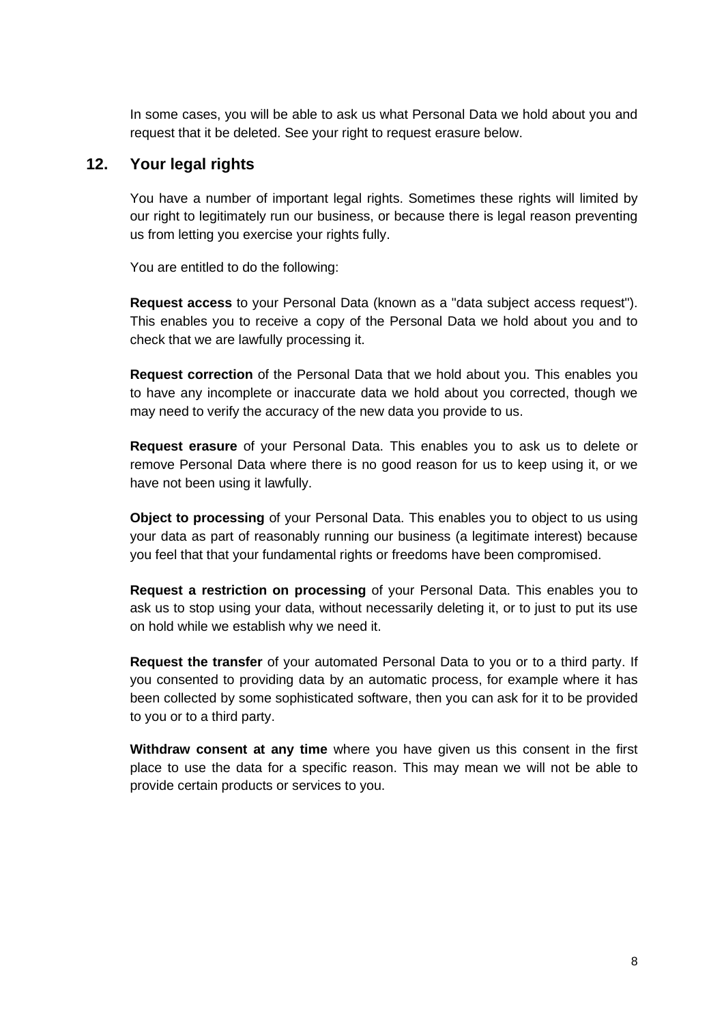In some cases, you will be able to ask us what Personal Data we hold about you and request that it be deleted. See your right to request erasure below.

## **12. Your legal rights**

<span id="page-8-0"></span>You have a number of important legal rights. Sometimes these rights will limited by our right to legitimately run our business, or because there is legal reason preventing us from letting you exercise your rights fully.

You are entitled to do the following:

**Request access** to your Personal Data (known as a "data subject access request"). This enables you to receive a copy of the Personal Data we hold about you and to check that we are lawfully processing it.

**Request correction** of the Personal Data that we hold about you. This enables you to have any incomplete or inaccurate data we hold about you corrected, though we may need to verify the accuracy of the new data you provide to us.

**Request erasure** of your Personal Data. This enables you to ask us to delete or remove Personal Data where there is no good reason for us to keep using it, or we have not been using it lawfully.

**Object to processing** of your Personal Data. This enables you to object to us using your data as part of reasonably running our business (a legitimate interest) because you feel that that your fundamental rights or freedoms have been compromised.

**Request a restriction on processing** of your Personal Data. This enables you to ask us to stop using your data, without necessarily deleting it, or to just to put its use on hold while we establish why we need it.

**Request the transfer** of your automated Personal Data to you or to a third party. If you consented to providing data by an automatic process, for example where it has been collected by some sophisticated software, then you can ask for it to be provided to you or to a third party.

**Withdraw consent at any time** where you have given us this consent in the first place to use the data for a specific reason. This may mean we will not be able to provide certain products or services to you.